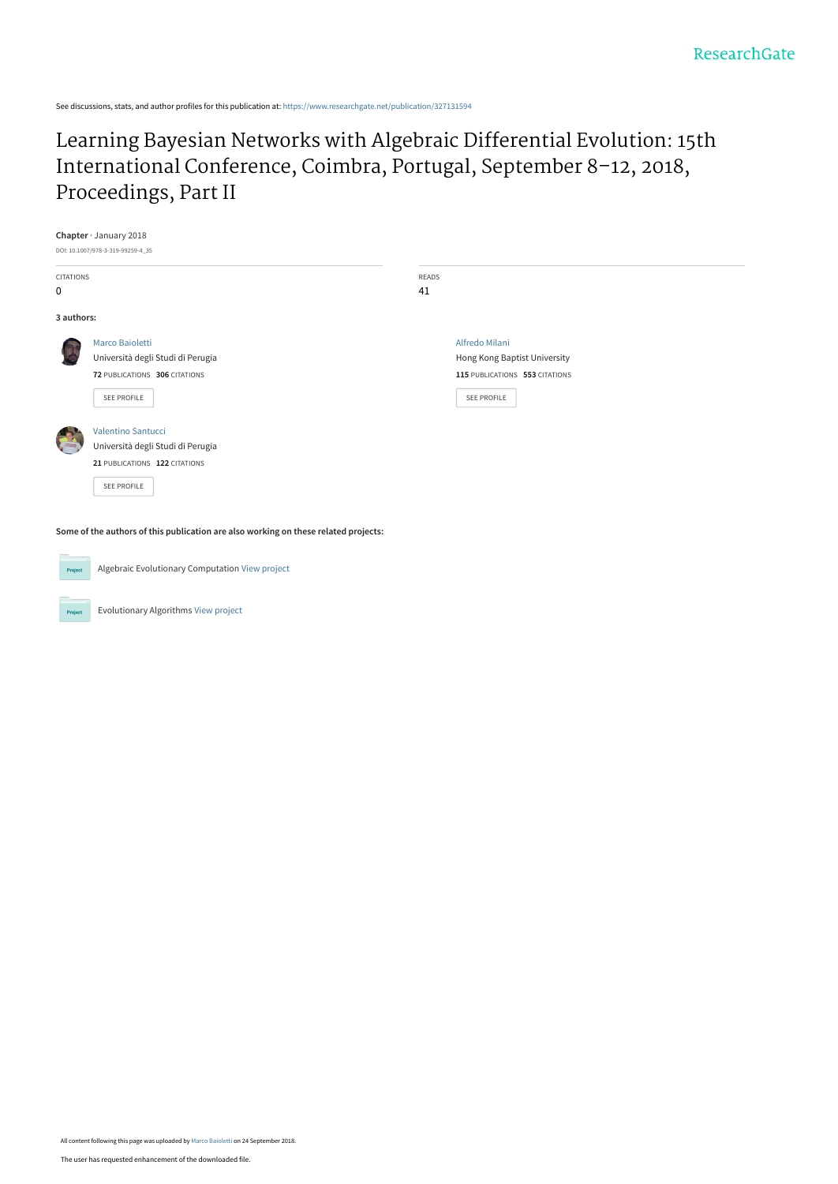See discussions, stats, and author profiles for this publication at: [https://www.researchgate.net/publication/327131594](https://www.researchgate.net/publication/327131594_Learning_Bayesian_Networks_with_Algebraic_Differential_Evolution_15th_International_Conference_Coimbra_Portugal_September_8-12_2018_Proceedings_Part_II?enrichId=rgreq-2cf0685da5bcd84388d019b038719e4b-XXX&enrichSource=Y292ZXJQYWdlOzMyNzEzMTU5NDtBUzo2NzQzNDYyNDI2OTEwNzNAMTUzNzc4ODA4MTkxNQ%3D%3D&el=1_x_2&_esc=publicationCoverPdf)

[Learning Bayesian Networks with Algebraic Differential Evolution: 15th](https://www.researchgate.net/publication/327131594_Learning_Bayesian_Networks_with_Algebraic_Differential_Evolution_15th_International_Conference_Coimbra_Portugal_September_8-12_2018_Proceedings_Part_II?enrichId=rgreq-2cf0685da5bcd84388d019b038719e4b-XXX&enrichSource=Y292ZXJQYWdlOzMyNzEzMTU5NDtBUzo2NzQzNDYyNDI2OTEwNzNAMTUzNzc4ODA4MTkxNQ%3D%3D&el=1_x_3&_esc=publicationCoverPdf) International Conference, Coimbra, Portugal, September 8–12, 2018, Proceedings, Part II

|                  | Chapter $\cdot$ January 2018                                                        |              |                                |  |
|------------------|-------------------------------------------------------------------------------------|--------------|--------------------------------|--|
|                  | DOI: 10.1007/978-3-319-99259-4_35                                                   |              |                                |  |
| <b>CITATIONS</b> |                                                                                     | <b>READS</b> |                                |  |
| $\mathbf 0$      |                                                                                     | 41           |                                |  |
| 3 authors:       |                                                                                     |              |                                |  |
|                  | Marco Baioletti                                                                     |              | Alfredo Milani                 |  |
|                  | Università degli Studi di Perugia                                                   |              | Hong Kong Baptist University   |  |
|                  | 72 PUBLICATIONS 306 CITATIONS                                                       |              | 115 PUBLICATIONS 553 CITATIONS |  |
|                  | <b>SEE PROFILE</b>                                                                  |              | SEE PROFILE                    |  |
|                  | Valentino Santucci                                                                  |              |                                |  |
|                  | Università degli Studi di Perugia                                                   |              |                                |  |
|                  | 21 PUBLICATIONS 122 CITATIONS                                                       |              |                                |  |
|                  | SEE PROFILE                                                                         |              |                                |  |
|                  | Some of the authors of this publication are also working on these related projects: |              |                                |  |
|                  |                                                                                     |              |                                |  |

Algebraic Evolutionary Computation [View project](https://www.researchgate.net/project/Algebraic-Evolutionary-Computation?enrichId=rgreq-2cf0685da5bcd84388d019b038719e4b-XXX&enrichSource=Y292ZXJQYWdlOzMyNzEzMTU5NDtBUzo2NzQzNDYyNDI2OTEwNzNAMTUzNzc4ODA4MTkxNQ%3D%3D&el=1_x_9&_esc=publicationCoverPdf) Project

Evolutionary Algorithms [View project](https://www.researchgate.net/project/Evolutionary-Algorithms-2?enrichId=rgreq-2cf0685da5bcd84388d019b038719e4b-XXX&enrichSource=Y292ZXJQYWdlOzMyNzEzMTU5NDtBUzo2NzQzNDYyNDI2OTEwNzNAMTUzNzc4ODA4MTkxNQ%3D%3D&el=1_x_9&_esc=publicationCoverPdf)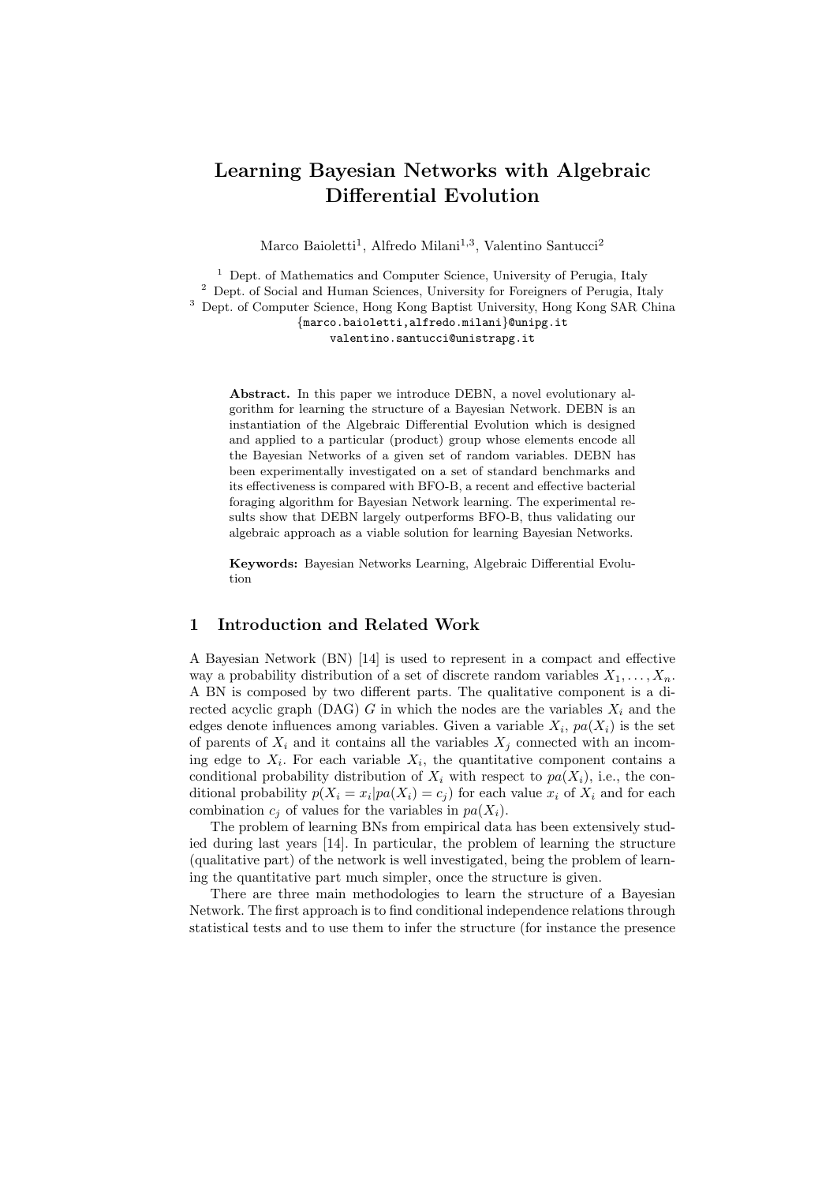# Learning Bayesian Networks with Algebraic Differential Evolution

Marco Baioletti<sup>1</sup>, Alfredo Milani<sup>1,3</sup>, Valentino Santucci<sup>2</sup>

<sup>1</sup> Dept. of Mathematics and Computer Science, University of Perugia, Italy <sup>2</sup> Dept. of Social and Human Sciences, University for Foreigners of Perugia, Italy <sup>3</sup> Dept. of Computer Science, Hong Kong Baptist University, Hong Kong SAR China {marco.baioletti,alfredo.milani}@unipg.it valentino.santucci@unistrapg.it

Abstract. In this paper we introduce DEBN, a novel evolutionary algorithm for learning the structure of a Bayesian Network. DEBN is an instantiation of the Algebraic Differential Evolution which is designed and applied to a particular (product) group whose elements encode all the Bayesian Networks of a given set of random variables. DEBN has been experimentally investigated on a set of standard benchmarks and its effectiveness is compared with BFO-B, a recent and effective bacterial foraging algorithm for Bayesian Network learning. The experimental results show that DEBN largely outperforms BFO-B, thus validating our algebraic approach as a viable solution for learning Bayesian Networks.

Keywords: Bayesian Networks Learning, Algebraic Differential Evolution

# 1 Introduction and Related Work

A Bayesian Network (BN) [14] is used to represent in a compact and effective way a probability distribution of a set of discrete random variables  $X_1, \ldots, X_n$ . A BN is composed by two different parts. The qualitative component is a directed acyclic graph (DAG) G in which the nodes are the variables  $X_i$  and the edges denote influences among variables. Given a variable  $X_i$ ,  $pa(X_i)$  is the set of parents of  $X_i$  and it contains all the variables  $X_j$  connected with an incoming edge to  $X_i$ . For each variable  $X_i$ , the quantitative component contains a conditional probability distribution of  $X_i$  with respect to  $pa(X_i)$ , i.e., the conditional probability  $p(X_i = x_i | pa(X_i) = c_j)$  for each value  $x_i$  of  $X_i$  and for each combination  $c_i$  of values for the variables in  $pa(X_i)$ .

The problem of learning BNs from empirical data has been extensively studied during last years [14]. In particular, the problem of learning the structure (qualitative part) of the network is well investigated, being the problem of learning the quantitative part much simpler, once the structure is given.

There are three main methodologies to learn the structure of a Bayesian Network. The first approach is to find conditional independence relations through statistical tests and to use them to infer the structure (for instance the presence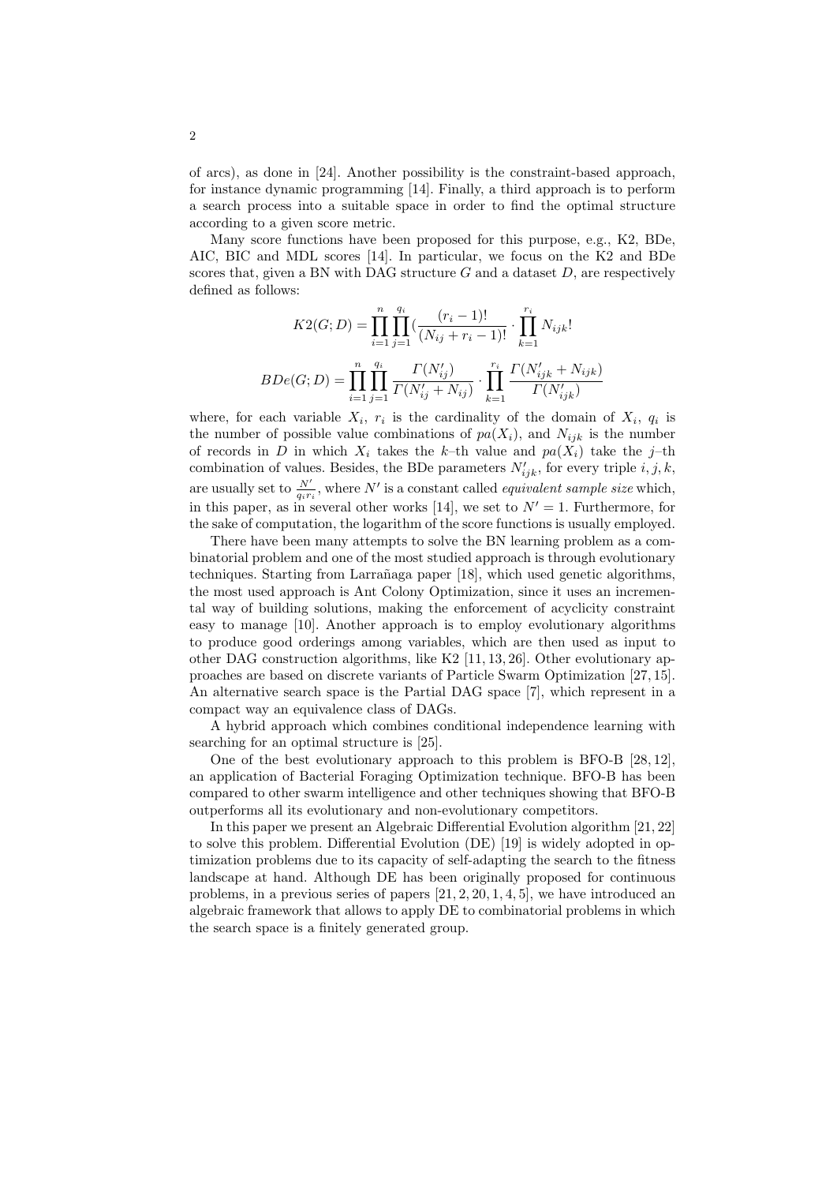of arcs), as done in [24]. Another possibility is the constraint-based approach, for instance dynamic programming [14]. Finally, a third approach is to perform a search process into a suitable space in order to find the optimal structure according to a given score metric.

Many score functions have been proposed for this purpose, e.g., K2, BDe, AIC, BIC and MDL scores [14]. In particular, we focus on the K2 and BDe scores that, given a BN with DAG structure  $G$  and a dataset  $D$ , are respectively defined as follows:

$$
K2(G; D) = \prod_{i=1}^{n} \prod_{j=1}^{q_i} \left( \frac{(r_i - 1)!}{(N_{ij} + r_i - 1)!} \cdot \prod_{k=1}^{r_i} N_{ijk} \right)
$$

$$
BDe(G; D) = \prod_{i=1}^{n} \prod_{j=1}^{q_i} \frac{\Gamma(N'_{ij})}{\Gamma(N'_{ij} + N_{ij})} \cdot \prod_{k=1}^{r_i} \frac{\Gamma(N'_{ijk} + N_{ijk})}{\Gamma(N'_{ijk})}
$$

where, for each variable  $X_i$ ,  $r_i$  is the cardinality of the domain of  $X_i$ ,  $q_i$  is the number of possible value combinations of  $pa(X_i)$ , and  $N_{ijk}$  is the number of records in D in which  $X_i$  takes the k-th value and  $pa(X_i)$  take the j-th combination of values. Besides, the BDe parameters  $N'_{ijk}$ , for every triple  $i, j, k$ , are usually set to  $\frac{N'}{q_i r_i}$ , where N' is a constant called *equivalent sample size* which, in this paper, as in several other works [14], we set to  $N' = 1$ . Furthermore, for the sake of computation, the logarithm of the score functions is usually employed.

There have been many attempts to solve the BN learning problem as a combinatorial problem and one of the most studied approach is through evolutionary techniques. Starting from Larrañaga paper [18], which used genetic algorithms, the most used approach is Ant Colony Optimization, since it uses an incremental way of building solutions, making the enforcement of acyclicity constraint easy to manage [10]. Another approach is to employ evolutionary algorithms to produce good orderings among variables, which are then used as input to other DAG construction algorithms, like K2 [11, 13, 26]. Other evolutionary approaches are based on discrete variants of Particle Swarm Optimization [27, 15]. An alternative search space is the Partial DAG space [7], which represent in a compact way an equivalence class of DAGs.

A hybrid approach which combines conditional independence learning with searching for an optimal structure is [25].

One of the best evolutionary approach to this problem is BFO-B [28, 12], an application of Bacterial Foraging Optimization technique. BFO-B has been compared to other swarm intelligence and other techniques showing that BFO-B outperforms all its evolutionary and non-evolutionary competitors.

In this paper we present an Algebraic Differential Evolution algorithm [21, 22] to solve this problem. Differential Evolution (DE) [19] is widely adopted in optimization problems due to its capacity of self-adapting the search to the fitness landscape at hand. Although DE has been originally proposed for continuous problems, in a previous series of papers [21, 2, 20, 1, 4, 5], we have introduced an algebraic framework that allows to apply DE to combinatorial problems in which the search space is a finitely generated group.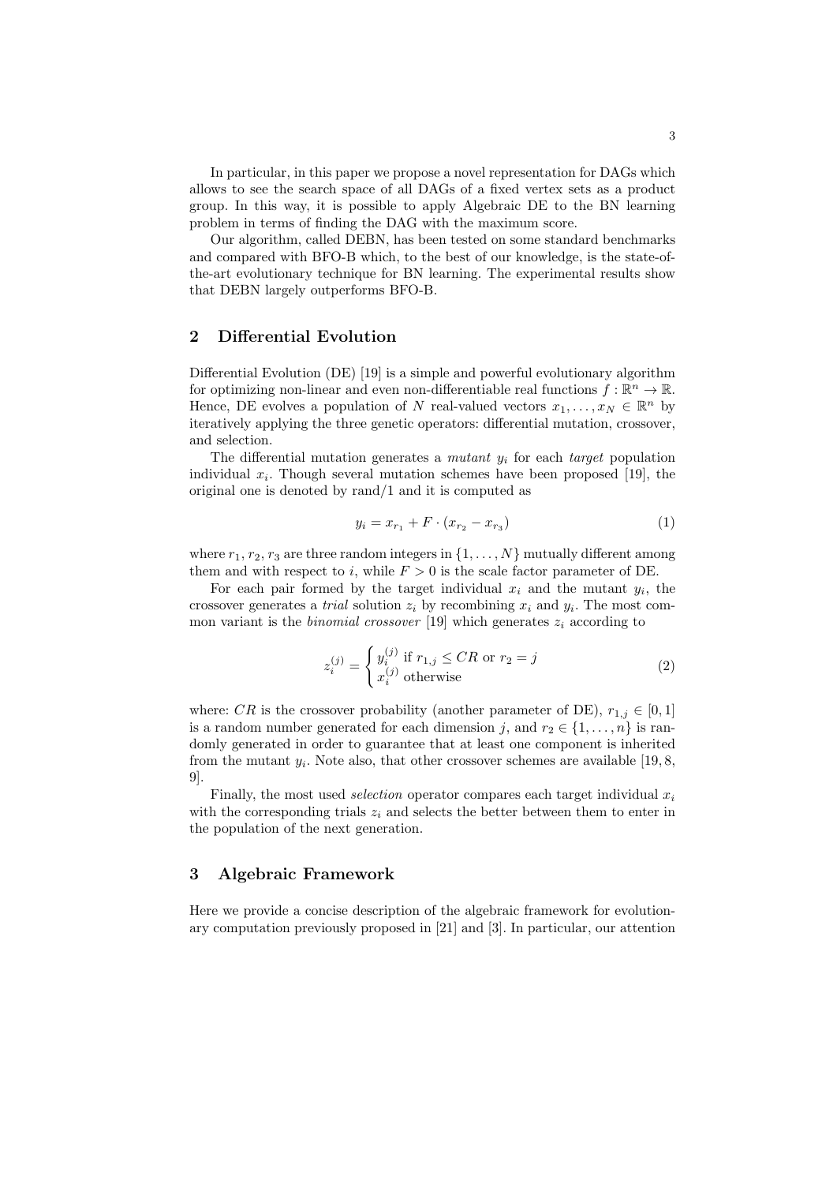In particular, in this paper we propose a novel representation for DAGs which allows to see the search space of all DAGs of a fixed vertex sets as a product group. In this way, it is possible to apply Algebraic DE to the BN learning problem in terms of finding the DAG with the maximum score.

Our algorithm, called DEBN, has been tested on some standard benchmarks and compared with BFO-B which, to the best of our knowledge, is the state-ofthe-art evolutionary technique for BN learning. The experimental results show that DEBN largely outperforms BFO-B.

# 2 Differential Evolution

Differential Evolution (DE) [19] is a simple and powerful evolutionary algorithm for optimizing non-linear and even non-differentiable real functions  $f : \mathbb{R}^n \to \mathbb{R}$ . Hence, DE evolves a population of N real-valued vectors  $x_1, \ldots, x_N \in \mathbb{R}^n$  by iteratively applying the three genetic operators: differential mutation, crossover, and selection.

The differential mutation generates a *mutant*  $y_i$  for each *target* population individual  $x_i$ . Though several mutation schemes have been proposed [19], the original one is denoted by rand/1 and it is computed as

$$
y_i = x_{r_1} + F \cdot (x_{r_2} - x_{r_3}) \tag{1}
$$

where  $r_1, r_2, r_3$  are three random integers in  $\{1, \ldots, N\}$  mutually different among them and with respect to i, while  $F > 0$  is the scale factor parameter of DE.

For each pair formed by the target individual  $x_i$  and the mutant  $y_i$ , the crossover generates a *trial* solution  $z_i$  by recombining  $x_i$  and  $y_i$ . The most common variant is the *binomial crossover* [19] which generates  $z_i$  according to

$$
z_i^{(j)} = \begin{cases} y_i^{(j)} \text{ if } r_{1,j} \le CR \text{ or } r_2 = j\\ x_i^{(j)} \text{ otherwise} \end{cases}
$$
 (2)

where: CR is the crossover probability (another parameter of DE),  $r_{1,j} \in [0,1]$ is a random number generated for each dimension j, and  $r_2 \in \{1, \ldots, n\}$  is randomly generated in order to guarantee that at least one component is inherited from the mutant  $y_i$ . Note also, that other crossover schemes are available [19, 8, 9].

Finally, the most used *selection* operator compares each target individual  $x_i$ with the corresponding trials  $z_i$  and selects the better between them to enter in the population of the next generation.

### 3 Algebraic Framework

Here we provide a concise description of the algebraic framework for evolutionary computation previously proposed in [21] and [3]. In particular, our attention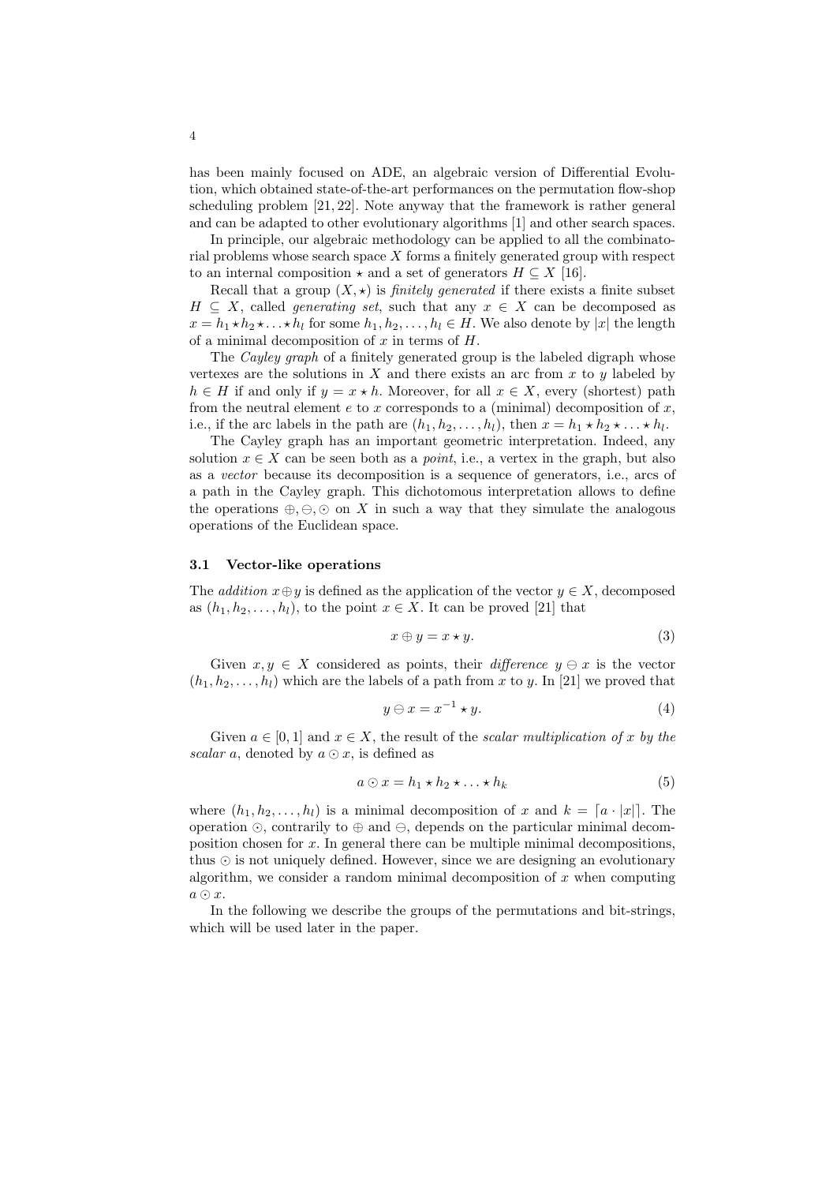has been mainly focused on ADE, an algebraic version of Differential Evolution, which obtained state-of-the-art performances on the permutation flow-shop scheduling problem [21, 22]. Note anyway that the framework is rather general and can be adapted to other evolutionary algorithms [1] and other search spaces.

In principle, our algebraic methodology can be applied to all the combinatorial problems whose search space  $X$  forms a finitely generated group with respect to an internal composition  $\star$  and a set of generators  $H \subseteq X$  [16].

Recall that a group  $(X, \star)$  is *finitely generated* if there exists a finite subset  $H \subseteq X$ , called *generating set*, such that any  $x \in X$  can be decomposed as  $x = h_1 \star h_2 \star \ldots \star h_l$  for some  $h_1, h_2, \ldots, h_l \in H$ . We also denote by |x| the length of a minimal decomposition of  $x$  in terms of  $H$ .

The *Cayley graph* of a finitely generated group is the labeled digraph whose vertexes are the solutions in  $X$  and there exists an arc from  $x$  to  $y$  labeled by  $h \in H$  if and only if  $y = x * h$ . Moreover, for all  $x \in X$ , every (shortest) path from the neutral element  $e$  to  $x$  corresponds to a (minimal) decomposition of  $x$ , i.e., if the arc labels in the path are  $(h_1, h_2, \ldots, h_l)$ , then  $x = h_1 \star h_2 \star \ldots \star h_l$ .

The Cayley graph has an important geometric interpretation. Indeed, any solution  $x \in X$  can be seen both as a *point*, i.e., a vertex in the graph, but also as a vector because its decomposition is a sequence of generators, i.e., arcs of a path in the Cayley graph. This dichotomous interpretation allows to define the operations  $\oplus$ ,  $\odot$  on X in such a way that they simulate the analogous operations of the Euclidean space.

#### 3.1 Vector-like operations

The *addition*  $x \oplus y$  is defined as the application of the vector  $y \in X$ , decomposed as  $(h_1, h_2, \ldots, h_l)$ , to the point  $x \in X$ . It can be proved [21] that

$$
x \oplus y = x \star y. \tag{3}
$$

Given  $x, y \in X$  considered as points, their *difference*  $y \ominus x$  is the vector  $(h_1, h_2, \ldots, h_l)$  which are the labels of a path from x to y. In [21] we proved that

$$
y \ominus x = x^{-1} \star y. \tag{4}
$$

Given  $a \in [0, 1]$  and  $x \in X$ , the result of the scalar multiplication of x by the scalar a, denoted by  $a \odot x$ , is defined as

$$
a \odot x = h_1 \star h_2 \star \ldots \star h_k \tag{5}
$$

where  $(h_1, h_2, \ldots, h_l)$  is a minimal decomposition of x and  $k = [a \cdot |x|]$ . The operation  $\odot$ , contrarily to  $\oplus$  and  $\ominus$ , depends on the particular minimal decomposition chosen for x. In general there can be multiple minimal decompositions, thus  $\odot$  is not uniquely defined. However, since we are designing an evolutionary algorithm, we consider a random minimal decomposition of  $x$  when computing  $a \odot x$ .

In the following we describe the groups of the permutations and bit-strings, which will be used later in the paper.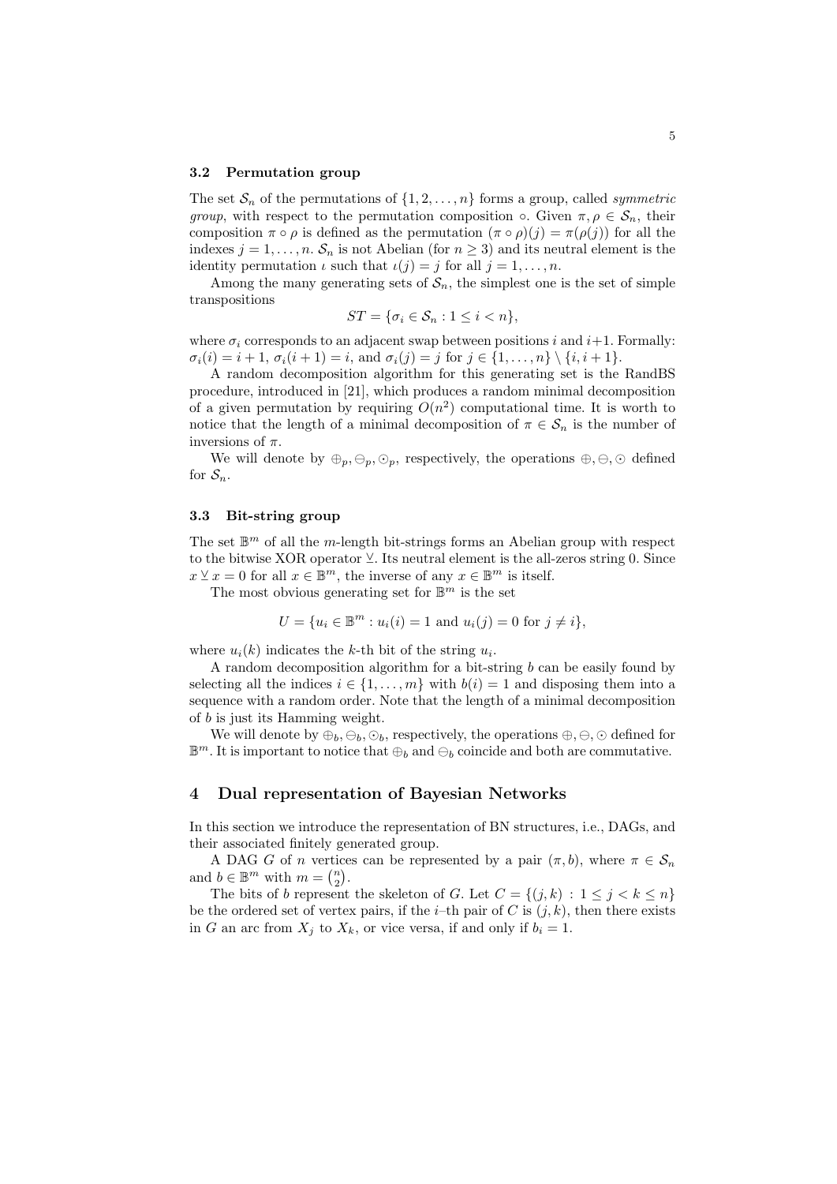#### 3.2 Permutation group

The set  $S_n$  of the permutations of  $\{1, 2, ..., n\}$  forms a group, called *symmetric* group, with respect to the permutation composition  $\circ$ . Given  $\pi, \rho \in \mathcal{S}_n$ , their composition  $\pi \circ \rho$  is defined as the permutation  $(\pi \circ \rho)(j) = \pi(\rho(j))$  for all the indexes  $j = 1, \ldots, n$ .  $S_n$  is not Abelian (for  $n \geq 3$ ) and its neutral element is the identity permutation  $\iota$  such that  $\iota(j) = j$  for all  $j = 1, \ldots, n$ .

Among the many generating sets of  $S_n$ , the simplest one is the set of simple transpositions

$$
ST = \{\sigma_i \in \mathcal{S}_n : 1 \le i < n\},\
$$

where  $\sigma_i$  corresponds to an adjacent swap between positions i and i+1. Formally:  $\sigma_i(i) = i + 1, \sigma_i(i + 1) = i$ , and  $\sigma_i(j) = j$  for  $j \in \{1, ..., n\} \setminus \{i, i + 1\}.$ 

A random decomposition algorithm for this generating set is the RandBS procedure, introduced in [21], which produces a random minimal decomposition of a given permutation by requiring  $O(n^2)$  computational time. It is worth to notice that the length of a minimal decomposition of  $\pi \in \mathcal{S}_n$  is the number of inversions of  $\pi$ .

We will denote by  $\oplus_p, \ominus_p, \odot_p$ , respectively, the operations  $\oplus, \ominus, \odot$  defined for  $S_n$ .

#### 3.3 Bit-string group

The set  $\mathbb{B}^m$  of all the m-length bit-strings forms an Abelian group with respect to the bitwise XOR operator  $\vee$ . Its neutral element is the all-zeros string 0. Since  $x \leq x = 0$  for all  $x \in \mathbb{B}^m$ , the inverse of any  $x \in \mathbb{B}^m$  is itself.

The most obvious generating set for  $\mathbb{B}^m$  is the set

$$
U = \{ u_i \in \mathbb{B}^m : u_i(i) = 1 \text{ and } u_i(j) = 0 \text{ for } j \neq i \},
$$

where  $u_i(k)$  indicates the k-th bit of the string  $u_i$ .

A random decomposition algorithm for a bit-string b can be easily found by selecting all the indices  $i \in \{1, \ldots, m\}$  with  $b(i) = 1$  and disposing them into a sequence with a random order. Note that the length of a minimal decomposition of b is just its Hamming weight.

We will denote by  $\oplus_b, \ominus_b, \odot_b$ , respectively, the operations  $\oplus, \ominus, \odot$  defined for  $\mathbb{B}^m$ . It is important to notice that  $\bigoplus_b$  and  $\bigoplus_b$  coincide and both are commutative.

### 4 Dual representation of Bayesian Networks

In this section we introduce the representation of BN structures, i.e., DAGs, and their associated finitely generated group.

A DAG G of n vertices can be represented by a pair  $(\pi, b)$ , where  $\pi \in \mathcal{S}_n$ and  $b \in \mathbb{B}^m$  with  $m = \binom{n}{2}$ .

The bits of b represent the skeleton of G. Let  $C = \{(j,k) : 1 \leq j < k \leq n\}$ be the ordered set of vertex pairs, if the *i*-th pair of C is  $(j, k)$ , then there exists in G an arc from  $X_j$  to  $X_k$ , or vice versa, if and only if  $b_i = 1$ .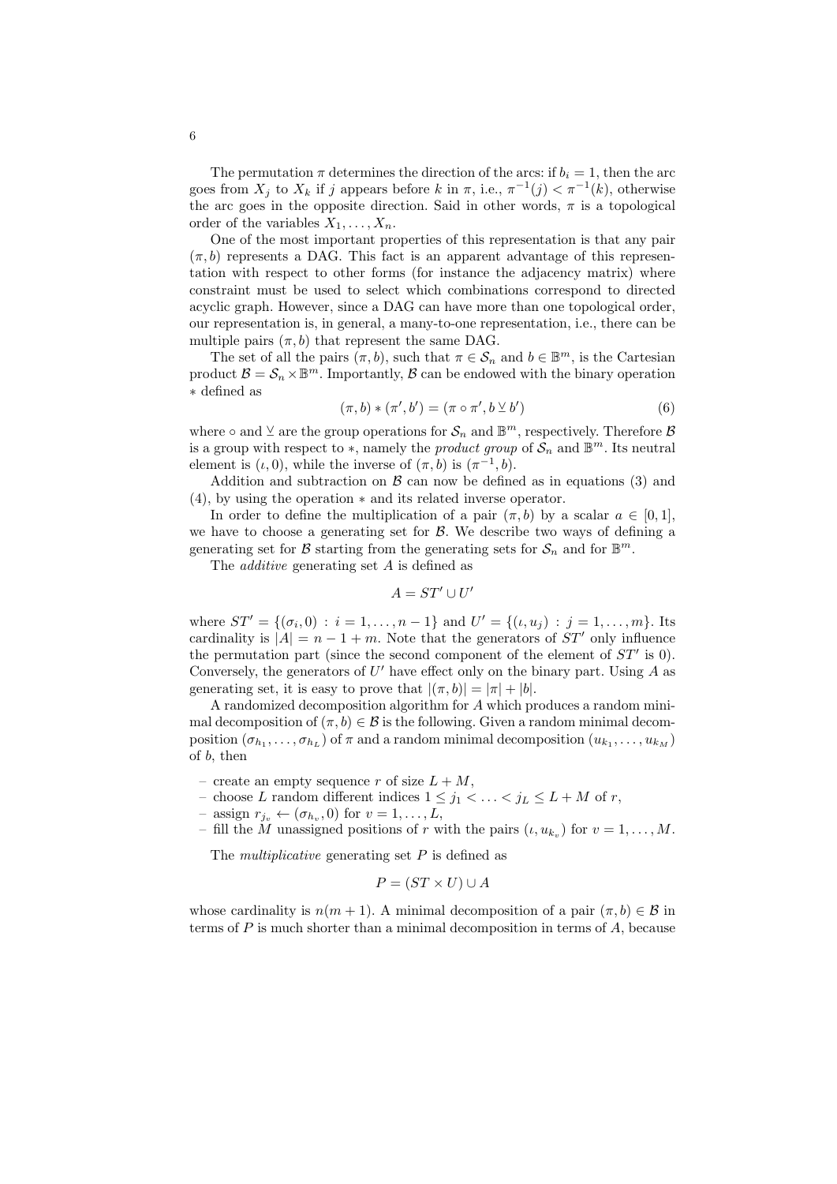The permutation  $\pi$  determines the direction of the arcs: if  $b_i = 1$ , then the arc goes from  $X_j$  to  $X_k$  if j appears before k in  $\pi$ , i.e.,  $\pi^{-1}(j) < \pi^{-1}(k)$ , otherwise the arc goes in the opposite direction. Said in other words,  $\pi$  is a topological order of the variables  $X_1, \ldots, X_n$ .

One of the most important properties of this representation is that any pair  $(\pi, b)$  represents a DAG. This fact is an apparent advantage of this representation with respect to other forms (for instance the adjacency matrix) where constraint must be used to select which combinations correspond to directed acyclic graph. However, since a DAG can have more than one topological order, our representation is, in general, a many-to-one representation, i.e., there can be multiple pairs  $(\pi, b)$  that represent the same DAG.

The set of all the pairs  $(\pi, b)$ , such that  $\pi \in \mathcal{S}_n$  and  $b \in \mathbb{B}^m$ , is the Cartesian product  $\mathcal{B} = \mathcal{S}_n \times \mathbb{B}^m$ . Importantly,  $\mathcal{B}$  can be endowed with the binary operation ∗ defined as

$$
(\pi, b) * (\pi', b') = (\pi \circ \pi', b \veebar b')
$$
 (6)

where  $\circ$  and  $\vee$  are the group operations for  $\mathcal{S}_n$  and  $\mathbb{B}^m$ , respectively. Therefore  $\mathcal{B}$ is a group with respect to  $\ast$ , namely the *product group* of  $\mathcal{S}_n$  and  $\mathbb{B}^m$ . Its neutral element is  $(\iota, 0)$ , while the inverse of  $(\pi, b)$  is  $(\pi^{-1}, b)$ .

Addition and subtraction on  $\beta$  can now be defined as in equations (3) and (4), by using the operation ∗ and its related inverse operator.

In order to define the multiplication of a pair  $(\pi, b)$  by a scalar  $a \in [0, 1]$ , we have to choose a generating set for  $\beta$ . We describe two ways of defining a generating set for  $\mathcal B$  starting from the generating sets for  $\mathcal S_n$  and for  $\mathbb B^m$ .

The additive generating set A is defined as

$$
A=ST'\cup U'
$$

where  $ST' = \{(\sigma_i, 0) : i = 1, \ldots, n - 1\}$  and  $U' = \{(i, u_j) : j = 1, \ldots, m\}$ . Its cardinality is  $|A| = n - 1 + m$ . Note that the generators of  $ST'$  only influence the permutation part (since the second component of the element of  $ST'$  is 0). Conversely, the generators of  $U'$  have effect only on the binary part. Using  $A$  as generating set, it is easy to prove that  $|(\pi, b)| = |\pi| + |b|$ .

A randomized decomposition algorithm for A which produces a random minimal decomposition of  $(\pi, b) \in \mathcal{B}$  is the following. Given a random minimal decomposition  $(\sigma_{h_1}, \ldots, \sigma_{h_L})$  of  $\pi$  and a random minimal decomposition  $(u_{k_1}, \ldots, u_{k_M})$ of b, then

- create an empty sequence r of size  $L + M$ ,
- choose L random different indices  $1 \leq j_1 < \ldots < j_L \leq L + M$  of r,
- $-$  assign  $r_{j_v} \leftarrow (\sigma_{h_v}, 0)$  for  $v = 1, \ldots, L$ ,
- fill the M unassigned positions of r with the pairs  $(\iota, u_{k_v})$  for  $v = 1, \ldots, M$ .

The *multiplicative* generating set  $P$  is defined as

$$
P = (ST \times U) \cup A
$$

whose cardinality is  $n(m + 1)$ . A minimal decomposition of a pair  $(\pi, b) \in \mathcal{B}$  in terms of  $P$  is much shorter than a minimal decomposition in terms of  $A$ , because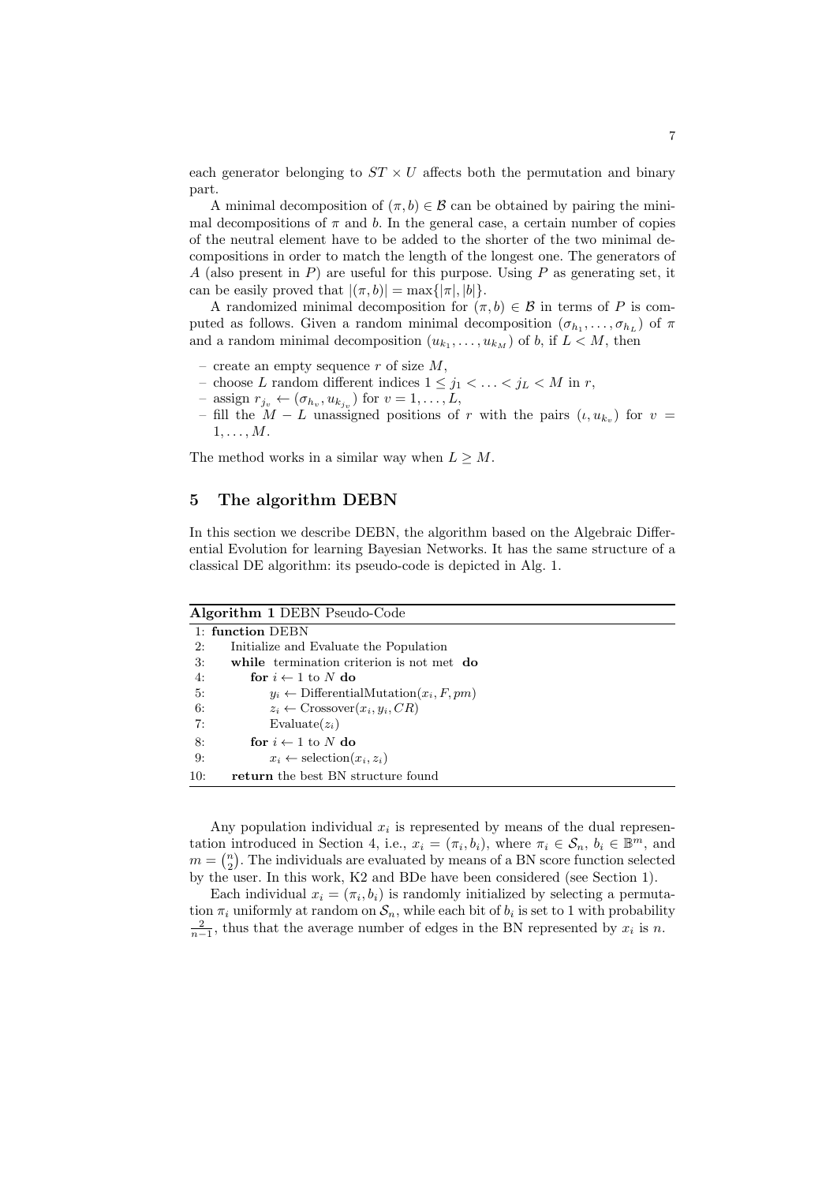each generator belonging to  $ST \times U$  affects both the permutation and binary part.

A minimal decomposition of  $(\pi, b) \in \mathcal{B}$  can be obtained by pairing the minimal decompositions of  $\pi$  and b. In the general case, a certain number of copies of the neutral element have to be added to the shorter of the two minimal decompositions in order to match the length of the longest one. The generators of A (also present in  $P$ ) are useful for this purpose. Using  $P$  as generating set, it can be easily proved that  $|(\pi, b)| = \max\{|\pi|, |b|\}.$ 

A randomized minimal decomposition for  $(\pi, b) \in \mathcal{B}$  in terms of P is computed as follows. Given a random minimal decomposition  $(\sigma_{h_1}, \ldots, \sigma_{h_L})$  of  $\pi$ and a random minimal decomposition  $(u_{k_1},...,u_{k_M})$  of b, if  $L < M$ , then

- create an empty sequence  $r$  of size  $M$ ,
- choose L random different indices  $1 \leq j_1 < \ldots < j_L < M$  in  $r$ ,
- $-$  assign  $r_{j_v} \leftarrow (\sigma_{h_v}, u_{k_{j_v}})$  for  $v = 1, \ldots, L$ ,
- fill the  $M L$  unassigned positions of r with the pairs  $(ι, u_{k_v})$  for  $v =$  $1, \ldots, M$ .

The method works in a similar way when  $L \geq M$ .

### 5 The algorithm DEBN

In this section we describe DEBN, the algorithm based on the Algebraic Differential Evolution for learning Bayesian Networks. It has the same structure of a classical DE algorithm: its pseudo-code is depicted in Alg. 1.

| Algorithm 1 DEBN Pseudo-Code |                                                      |  |  |  |  |
|------------------------------|------------------------------------------------------|--|--|--|--|
|                              | 1: function DEBN                                     |  |  |  |  |
| 2:                           | Initialize and Evaluate the Population               |  |  |  |  |
| 3:                           | while termination criterion is not met do            |  |  |  |  |
| 4:                           | for $i \leftarrow 1$ to N do                         |  |  |  |  |
| -5:                          | $y_i \leftarrow$ DifferentialMutation $(x_i, F, pm)$ |  |  |  |  |
| 6:                           | $z_i \leftarrow \text{Crossover}(x_i, y_i, CR)$      |  |  |  |  |
| 7:                           | Evaluate $(z_i)$                                     |  |  |  |  |
| 8:                           | for $i \leftarrow 1$ to N do                         |  |  |  |  |
| 9:                           | $x_i \leftarrow \text{selection}(x_i, z_i)$          |  |  |  |  |
| 10:                          | return the best BN structure found                   |  |  |  |  |

Any population individual  $x_i$  is represented by means of the dual representation introduced in Section 4, i.e.,  $x_i = (\pi_i, b_i)$ , where  $\pi_i \in \mathcal{S}_n$ ,  $b_i \in \mathbb{B}^m$ , and  $m = \binom{n}{2}$ . The individuals are evaluated by means of a BN score function selected by the user. In this work, K2 and BDe have been considered (see Section 1).

Each individual  $x_i = (\pi_i, b_i)$  is randomly initialized by selecting a permutation  $\pi_i$  uniformly at random on  $\mathcal{S}_n$ , while each bit of  $b_i$  is set to 1 with probability  $\frac{2}{n-1}$ , thus that the average number of edges in the BN represented by  $x_i$  is n.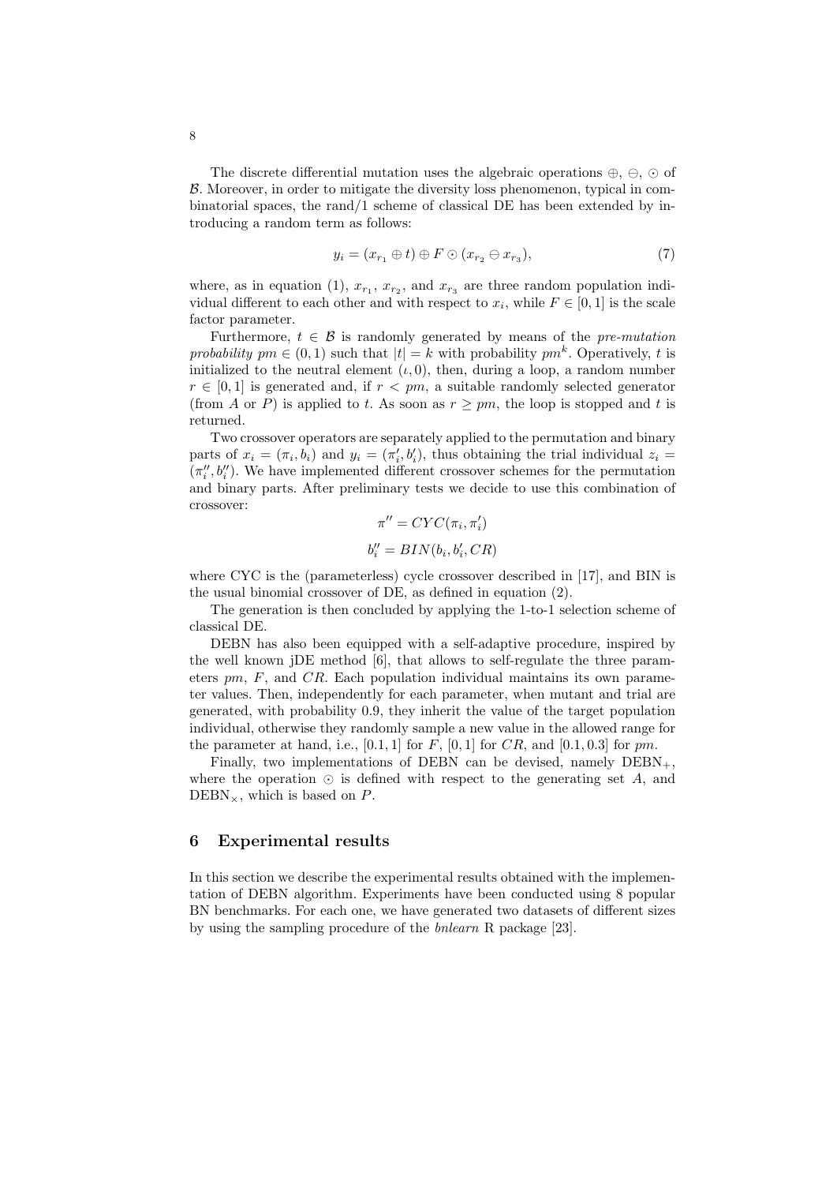The discrete differential mutation uses the algebraic operations  $\oplus$ ,  $\ominus$ ,  $\odot$  of B. Moreover, in order to mitigate the diversity loss phenomenon, typical in combinatorial spaces, the rand/1 scheme of classical DE has been extended by introducing a random term as follows:

$$
y_i = (x_{r_1} \oplus t) \oplus F \odot (x_{r_2} \ominus x_{r_3}), \tag{7}
$$

where, as in equation (1),  $x_{r_1}, x_{r_2}$ , and  $x_{r_3}$  are three random population individual different to each other and with respect to  $x_i$ , while  $F \in [0,1]$  is the scale factor parameter.

Furthermore,  $t \in \mathcal{B}$  is randomly generated by means of the *pre-mutation* probability  $pm \in (0,1)$  such that  $|t| = k$  with probability  $pm^k$ . Operatively, t is initialized to the neutral element  $(\iota, 0)$ , then, during a loop, a random number  $r \in [0, 1]$  is generated and, if  $r < pm$ , a suitable randomly selected generator (from A or P) is applied to t. As soon as  $r \geq pm$ , the loop is stopped and t is returned.

Two crossover operators are separately applied to the permutation and binary parts of  $x_i = (\pi_i, b_i)$  and  $y_i = (\pi'_i, b'_i)$ , thus obtaining the trial individual  $z_i =$  $(\pi''_i, b''_i)$ . We have implemented different crossover schemes for the permutation and binary parts. After preliminary tests we decide to use this combination of crossover:

$$
\pi'' = CYC(\pi_i, \pi'_i)
$$
  

$$
b''_i = BIN(b_i, b'_i, CR)
$$

where CYC is the (parameterless) cycle crossover described in [17], and BIN is the usual binomial crossover of DE, as defined in equation (2).

The generation is then concluded by applying the 1-to-1 selection scheme of classical DE.

DEBN has also been equipped with a self-adaptive procedure, inspired by the well known jDE method [6], that allows to self-regulate the three parameters  $pm$ ,  $F$ , and  $CR$ . Each population individual maintains its own parameter values. Then, independently for each parameter, when mutant and trial are generated, with probability 0.9, they inherit the value of the target population individual, otherwise they randomly sample a new value in the allowed range for the parameter at hand, i.e.,  $[0.1, 1]$  for F,  $[0, 1]$  for CR, and  $[0.1, 0.3]$  for pm.

Finally, two implementations of DEBN can be devised, namely  $\text{DEBN}_+$ , where the operation  $\odot$  is defined with respect to the generating set A, and  $DEBN<sub>x</sub>$ , which is based on P.

#### 6 Experimental results

In this section we describe the experimental results obtained with the implementation of DEBN algorithm. Experiments have been conducted using 8 popular BN benchmarks. For each one, we have generated two datasets of different sizes by using the sampling procedure of the bnlearn R package [23].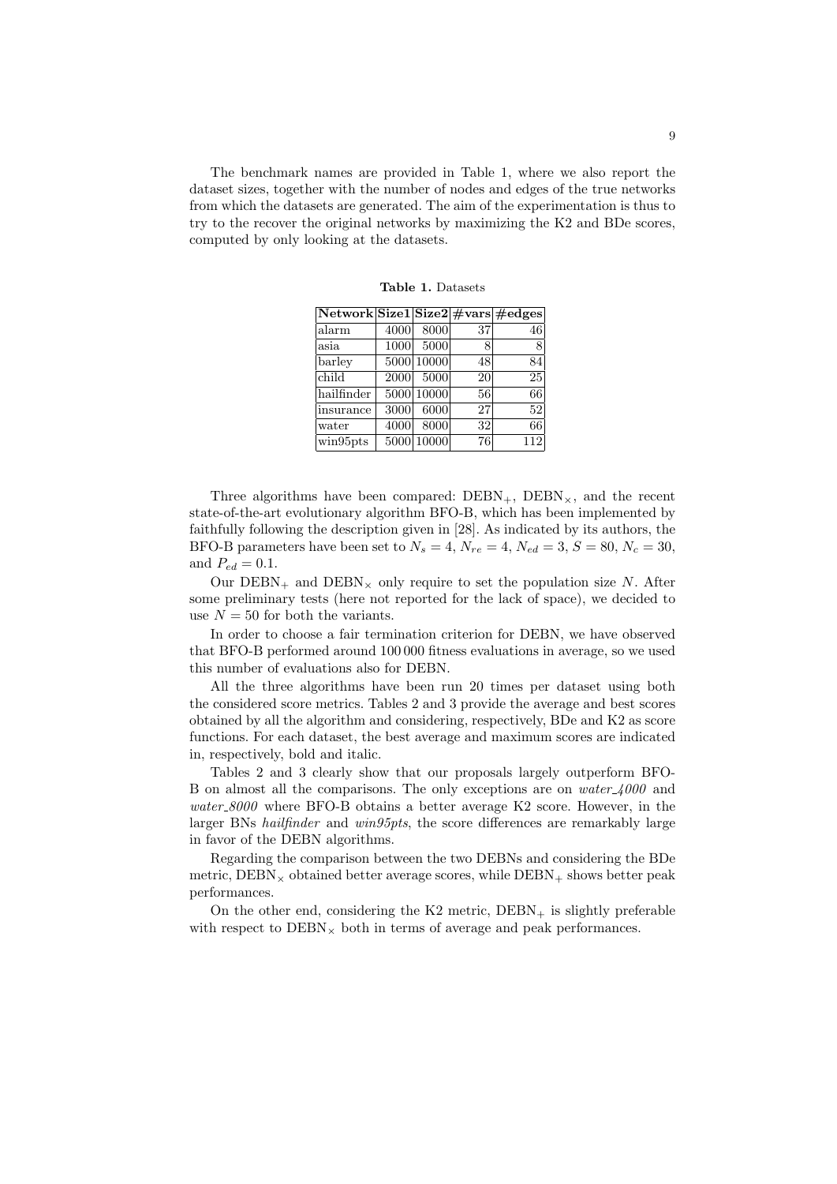The benchmark names are provided in Table 1, where we also report the dataset sizes, together with the number of nodes and edges of the true networks from which the datasets are generated. The aim of the experimentation is thus to try to the recover the original networks by maximizing the K2 and BDe scores, computed by only looking at the datasets.

| $\overline{\text{Network}} \text{Size1} \text{Size2} \#\text{vars}\#\text{edges}$ |      |            |    |     |
|-----------------------------------------------------------------------------------|------|------------|----|-----|
| alarm                                                                             | 4000 | 8000       | 37 | 46  |
| asia                                                                              | 1000 | 5000       | 8  | 8   |
| barlev                                                                            |      | 5000 10000 | 48 | 84  |
| child                                                                             | 2000 | 5000       | 20 | 25  |
| hailfinder                                                                        |      | 5000 10000 | 56 | 66  |
| insurance                                                                         | 3000 | 6000       | 27 | 52  |
| water                                                                             | 4000 | 8000       | 32 | 66  |
| win95pts                                                                          | 5000 | 10000      | 76 | 112 |

Table 1. Datasets

Three algorithms have been compared:  $DEBN_{+}$ ,  $DEBN_{\times}$ , and the recent state-of-the-art evolutionary algorithm BFO-B, which has been implemented by faithfully following the description given in [28]. As indicated by its authors, the BFO-B parameters have been set to  $N_s = 4$ ,  $N_{re} = 4$ ,  $N_{ed} = 3$ ,  $S = 80$ ,  $N_c = 30$ , and  $P_{ed} = 0.1$ .

Our  $DEBN_+$  and  $DEBN_x$  only require to set the population size N. After some preliminary tests (here not reported for the lack of space), we decided to use  $N = 50$  for both the variants.

In order to choose a fair termination criterion for DEBN, we have observed that BFO-B performed around 100 000 fitness evaluations in average, so we used this number of evaluations also for DEBN.

All the three algorithms have been run 20 times per dataset using both the considered score metrics. Tables 2 and 3 provide the average and best scores obtained by all the algorithm and considering, respectively, BDe and K2 as score functions. For each dataset, the best average and maximum scores are indicated in, respectively, bold and italic.

Tables 2 and 3 clearly show that our proposals largely outperform BFO-B on almost all the comparisons. The only exceptions are on  $water \text{-}4000$  and water 8000 where BFO-B obtains a better average K2 score. However, in the larger BNs hailfinder and win95pts, the score differences are remarkably large in favor of the DEBN algorithms.

Regarding the comparison between the two DEBNs and considering the BDe metric,  $\text{DEBN}_\times$  obtained better average scores, while  $\text{DEBN}_+$  shows better peak performances.

On the other end, considering the  $K2$  metric,  $DEBN_{+}$  is slightly preferable with respect to  $\text{DEBN}_\times$  both in terms of average and peak performances.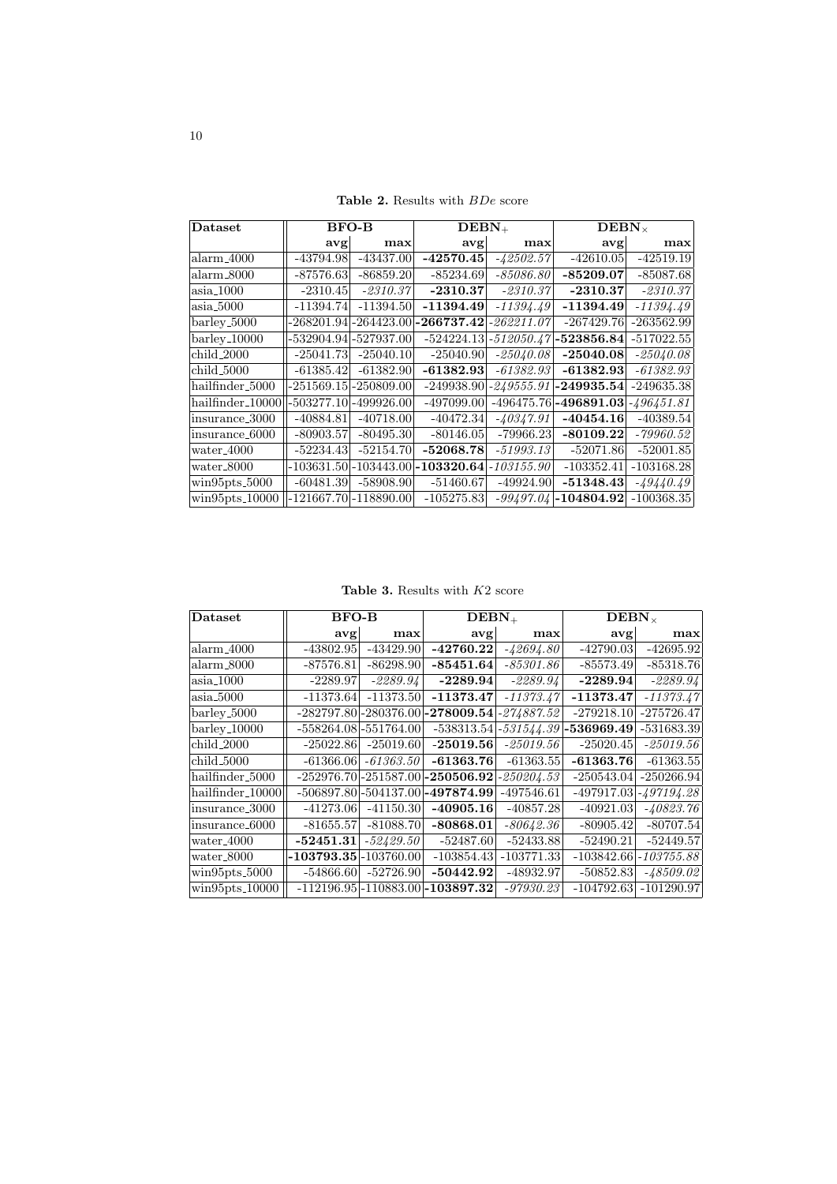Table 2. Results with  $BDe$  score

| Dataset                    | <b>BFO-B</b> |              | $DEBN+$      |              | $\rm{DEBN}_{\times}$ |              |
|----------------------------|--------------|--------------|--------------|--------------|----------------------|--------------|
|                            | avg          | max          | $\bf{avg}$   | max          | avg                  | max          |
| $\text{alarm\_4000}$       | -43794.98    | $-43437.00$  | $-42570.45$  | $-42502.57$  | $-42610.05$          | $-42519.19$  |
| $\text{alarm}\_8000$       | $-87576.63$  | $-86859.20$  | $-85234.69$  | $-85086.80$  | $-85209.07$          | $-85087.68$  |
| $\alpha$ sia 1000          | $-2310.45$   | $-2310.37$   | $-2310.37$   | $-2310.37$   | $-2310.37$           | $-2310.37$   |
| $\alpha$ sia 5000          | -11394.74    | $-11394.50$  | $-11394.49$  | $-11394.49$  | $-11394.49$          | $-11394.49$  |
| barley <sub>-5000</sub>    | $-268201.94$ | $-264423.00$ | $-266737.42$ | -262211.07   | $-267429.76$         | $-263562.99$ |
| $barlev_10000$             | -532904.94   | -527937.00   | $-524224.13$ | $-512050.47$ | $-523856.84$         | $-517022.55$ |
| child_2000                 | $-25041.73$  | $-25040.10$  | $-25040.90$  | $-25040.08$  | $-25040.08$          | -25040.08    |
| child_5000                 | $-61385.42$  | $-61382.90$  | $-61382.93$  | $-61382.93$  | $-61382.93$          | $-61382.93$  |
| hailfinder_5000            | $-251569.15$ | -250809.00   | $-249938.90$ | -249555.91   | $-249935.54$         | -249635.38   |
| hailfinder_10000           | $-503277.10$ | -499926.00   | -497099.00   | $-496475.76$ | -496891.03           | $-496451.81$ |
| insurance <sub>-3000</sub> | $-40884.81$  | $-40718.00$  | $-40472.34$  | $-40347.91$  | $-40454.16$          | $-40389.54$  |
| insurance_6000             | $-80903.57$  | $-80495.30$  | $-80146.05$  | $-79966.23$  | $-80109.22$          | $-79960.52$  |
| water <sub>-4000</sub>     | -52234.43    | $-52154.70$  | $-52068.78$  | $-51993.13$  | $-52071.86$          | $-52001.85$  |
| water_8000                 | -103631.50   | $-103443.00$ | $-103320.64$ | -103155.90   | $-103352.41$         | $-103168.28$ |
| $win95pts_5000$            | $-60481.39$  | $-58908.90$  | $-51460.67$  | $-49924.90$  | $-51348.43$          | -49440.49    |
| $win95pts_10000$           | $-121667.70$ | $-118890.00$ | $-105275.83$ | -99497.04    | $-104804.92$         | $-100368.35$ |

Table 3. Results with  $K2$  score

| Dataset                                                 | <b>BFO-B</b> |                           | $DEBN+$                                |              | $\rm{DEBN}_{\times}$        |              |
|---------------------------------------------------------|--------------|---------------------------|----------------------------------------|--------------|-----------------------------|--------------|
|                                                         |              |                           |                                        |              |                             |              |
|                                                         | $\bf{avg}$   | max                       | avg                                    | max          | avg                         | max          |
| $\text{alarm\_4000}$                                    | -43802.95    | $-43429.90$               | $-42760.22$                            | -42694.80    | $-42790.03$                 | $-42695.92$  |
| alarm_8000                                              | $-87576.81$  | $-86298.90$               | $-85451.64$                            | -85301.86    | $-85573.49$                 | $-85318.76$  |
| $\alpha$ sia <sub>-1000</sub>                           | $-2289.97$   | $-2289.94$                | $-2289.94$                             | $-2289.94$   | $-2289.94$                  | $-2289.94$   |
| asia_5000                                               | $-11373.64$  | $-11373.50$               | $-11373.47$                            | $-11373.47$  | $-11373.47$                 | $-11373.47$  |
| $barlev_5000$                                           | $-282797.80$ |                           | $ -280376.00 $ -278009.54 $ $          | $-274887.52$ | $-279218.10$                | $-275726.47$ |
| $barley_10000$                                          |              | $-558264.08$ $-551764.00$ | $-538313.54$                           | $-531544.39$ | $\left  -536969.49 \right $ | $-531683.39$ |
| child_2000                                              | $-25022.86$  | $-25019.60$               | $-25019.56$                            | $-25019.56$  | $-25020.45$                 | $-25019.56$  |
| child_5000                                              | $-61366.06$  | $-61363.50$               | $-61363.76$                            | $-61363.55$  | -61363.76                   | $-61363.55$  |
| hailfinder_5000                                         | $-252976.70$ | $-251587.00$              | -250506.92                             | -250204.53   | $-250543.04$                | $-250266.94$ |
| $\vert$ hailfinder_10000                                | -506897.80   | $-504137.00$              | -497874.99                             | -497546.61   | $-497917.03$                | $-497194.28$ |
| linsurance_3000                                         | $-41273.06$  | $-41150.30$               | $-40905.16$                            | $-40857.28$  | $-40921.03$                 | $-40823.76$  |
| insurance_6000                                          | $-81655.57$  | $-81088.70$               | $-80868.01$                            | -80642.36    | $-80905.42$                 | $-80707.54$  |
| water <sub>-4000</sub>                                  | $-52451.31$  | $-52429.50$               | $-52487.60$                            | $-52433.88$  | $-52490.21$                 | $-52449.57$  |
| water_8000                                              | $-103793.35$ | $-103760.00$              | $-103854.43$                           | $-103771.33$ | $-103842.66$                | $-103755.88$ |
| $\frac{\text{win95pts}}{2000}$                          | $-54866.60$  | $-52726.90$               | -50442.92                              | -48932.97    | $-50852.83$                 | $-48509.02$  |
| $\frac{\text{win95pts}\_10000}{\text{win95pts}\_10000}$ |              |                           | $-112196.95$ $-110883.00$ $-103897.32$ | -97930.23    | $-104792.63$                | $-101290.97$ |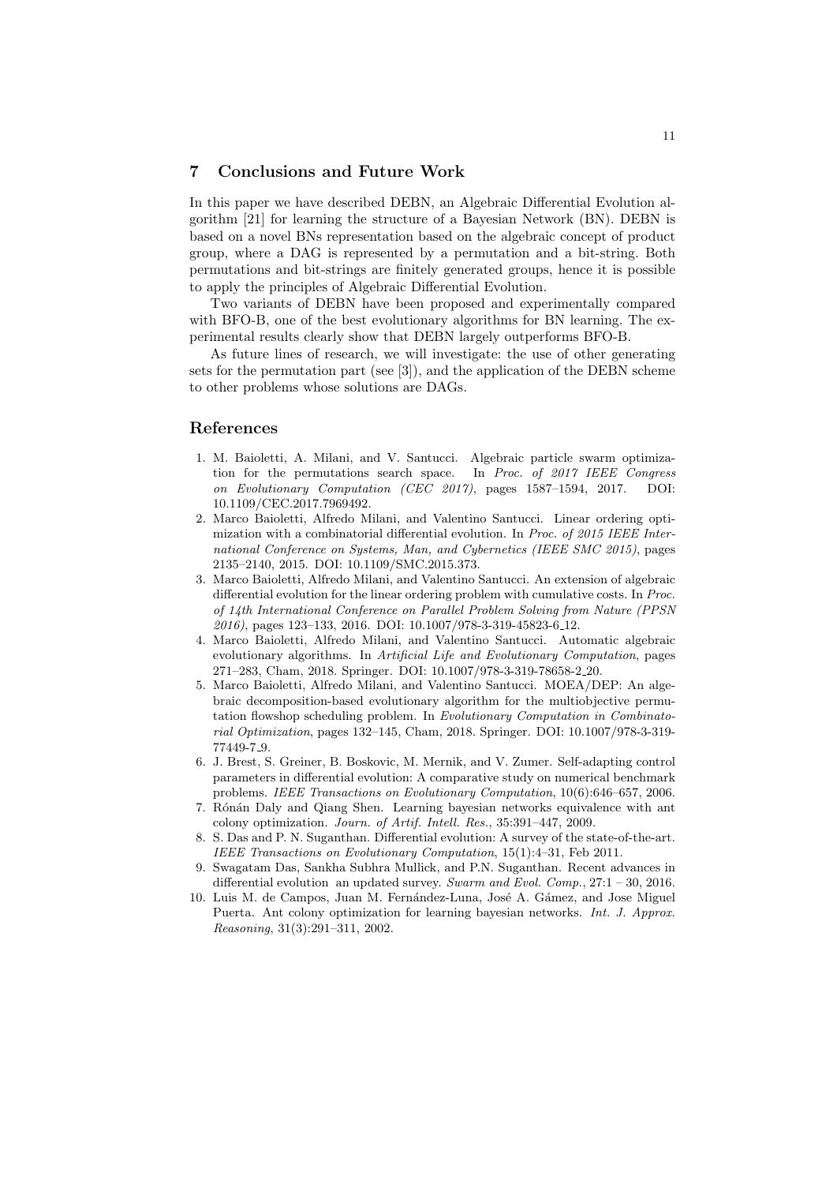# 7 Conclusions and Future Work

In this paper we have described DEBN, an Algebraic Differential Evolution algorithm [21] for learning the structure of a Bayesian Network (BN). DEBN is based on a novel BNs representation based on the algebraic concept of product group, where a DAG is represented by a permutation and a bit-string. Both permutations and bit-strings are finitely generated groups, hence it is possible to apply the principles of Algebraic Differential Evolution.

Two variants of DEBN have been proposed and experimentally compared with BFO-B, one of the best evolutionary algorithms for BN learning. The experimental results clearly show that DEBN largely outperforms BFO-B.

As future lines of research, we will investigate: the use of other generating sets for the permutation part (see [3]), and the application of the DEBN scheme to other problems whose solutions are DAGs.

### References

- 1. M. Baioletti, A. Milani, and V. Santucci. Algebraic particle swarm optimization for the permutations search space. In Proc. of 2017 IEEE Congress on Evolutionary Computation (CEC 2017), pages 1587–1594, 2017. DOI: 10.1109/CEC.2017.7969492.
- 2. Marco Baioletti, Alfredo Milani, and Valentino Santucci. Linear ordering optimization with a combinatorial differential evolution. In Proc. of 2015 IEEE International Conference on Systems, Man, and Cybernetics (IEEE SMC 2015), pages 2135–2140, 2015. DOI: 10.1109/SMC.2015.373.
- 3. Marco Baioletti, Alfredo Milani, and Valentino Santucci. An extension of algebraic differential evolution for the linear ordering problem with cumulative costs. In Proc. of 14th International Conference on Parallel Problem Solving from Nature (PPSN 2016), pages 123–133, 2016. DOI: 10.1007/978-3-319-45823-6 12.
- 4. Marco Baioletti, Alfredo Milani, and Valentino Santucci. Automatic algebraic evolutionary algorithms. In Artificial Life and Evolutionary Computation, pages 271–283, Cham, 2018. Springer. DOI: 10.1007/978-3-319-78658-2 20.
- 5. Marco Baioletti, Alfredo Milani, and Valentino Santucci. MOEA/DEP: An algebraic decomposition-based evolutionary algorithm for the multiobjective permutation flowshop scheduling problem. In Evolutionary Computation in Combinatorial Optimization, pages 132–145, Cham, 2018. Springer. DOI: 10.1007/978-3-319- 77449-7 9.
- 6. J. Brest, S. Greiner, B. Boskovic, M. Mernik, and V. Zumer. Self-adapting control parameters in differential evolution: A comparative study on numerical benchmark problems. IEEE Transactions on Evolutionary Computation, 10(6):646–657, 2006.
- 7. Rónán Daly and Qiang Shen. Learning bayesian networks equivalence with ant colony optimization. Journ. of Artif. Intell. Res., 35:391–447, 2009.
- 8. S. Das and P. N. Suganthan. Differential evolution: A survey of the state-of-the-art. IEEE Transactions on Evolutionary Computation, 15(1):4–31, Feb 2011.
- 9. Swagatam Das, Sankha Subhra Mullick, and P.N. Suganthan. Recent advances in differential evolution an updated survey. Swarm and Evol. Comp.,  $27:1 - 30$ ,  $2016$ .
- 10. Luis M. de Campos, Juan M. Fernández-Luna, José A. Gámez, and Jose Miguel Puerta. Ant colony optimization for learning bayesian networks. Int. J. Approx. Reasoning, 31(3):291–311, 2002.